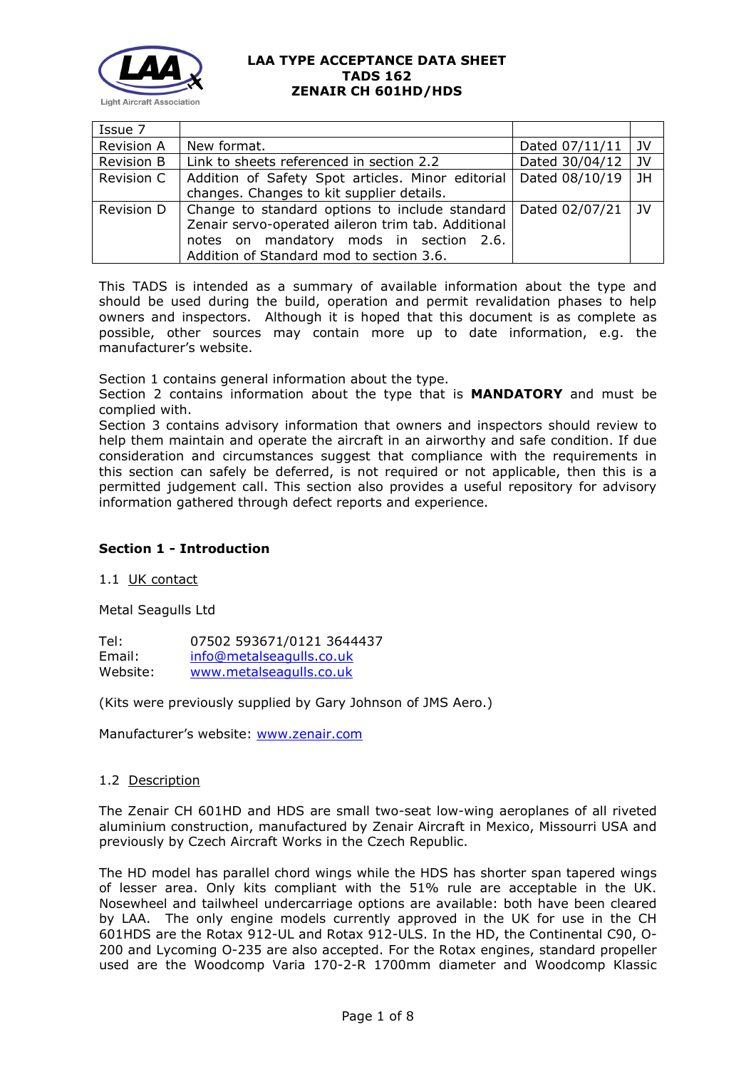

| Issue 7           |                                                                                                                                                                                                              |                |                |
|-------------------|--------------------------------------------------------------------------------------------------------------------------------------------------------------------------------------------------------------|----------------|----------------|
| <b>Revision A</b> | New format.                                                                                                                                                                                                  | Dated 07/11/11 | l JV           |
| Revision B        | Link to sheets referenced in section 2.2                                                                                                                                                                     | Dated 30/04/12 | l IV           |
| Revision C        | Addition of Safety Spot articles. Minor editorial<br>changes. Changes to kit supplier details.                                                                                                               | Dated 08/10/19 | JH             |
| Revision D        | Change to standard options to include standard   Dated 02/07/21<br>Zenair servo-operated aileron trim tab. Additional<br>notes on mandatory mods in section 2.6.<br>Addition of Standard mod to section 3.6. |                | $\overline{1}$ |

This TADS is intended as a summary of available information about the type and should be used during the build, operation and permit revalidation phases to help owners and inspectors. Although it is hoped that this document is as complete as possible, other sources may contain more up to date information, e.g. the manufacturer's website.

Section 1 contains general information about the type.

Section 2 contains information about the type that is **MANDATORY** and must be complied with.

Section 3 contains advisory information that owners and inspectors should review to help them maintain and operate the aircraft in an airworthy and safe condition. If due consideration and circumstances suggest that compliance with the requirements in this section can safely be deferred, is not required or not applicable, then this is a permitted judgement call. This section also provides a useful repository for advisory information gathered through defect reports and experience.

# **Section 1 - Introduction**

### 1.1 UK contact

Metal Seagulls Ltd

| Tel:     | 07502 593671/0121 3644437 |
|----------|---------------------------|
| Email:   | info@metalseagulls.co.uk  |
| Website: | www.metalseagulls.co.uk   |

(Kits were previously supplied by Gary Johnson of JMS Aero.)

Manufacturer's website: [www.zenair.com](http://www.zenair.com/)

### 1.2 Description

The Zenair CH 601HD and HDS are small two-seat low-wing aeroplanes of all riveted aluminium construction, manufactured by Zenair Aircraft in Mexico, Missourri USA and previously by Czech Aircraft Works in the Czech Republic.

The HD model has parallel chord wings while the HDS has shorter span tapered wings of lesser area. Only kits compliant with the 51% rule are acceptable in the UK. Nosewheel and tailwheel undercarriage options are available: both have been cleared by LAA. The only engine models currently approved in the UK for use in the CH 601HDS are the Rotax 912-UL and Rotax 912-ULS. In the HD, the Continental C90, O-200 and Lycoming O-235 are also accepted. For the Rotax engines, standard propeller used are the Woodcomp Varia 170-2-R 1700mm diameter and Woodcomp Klassic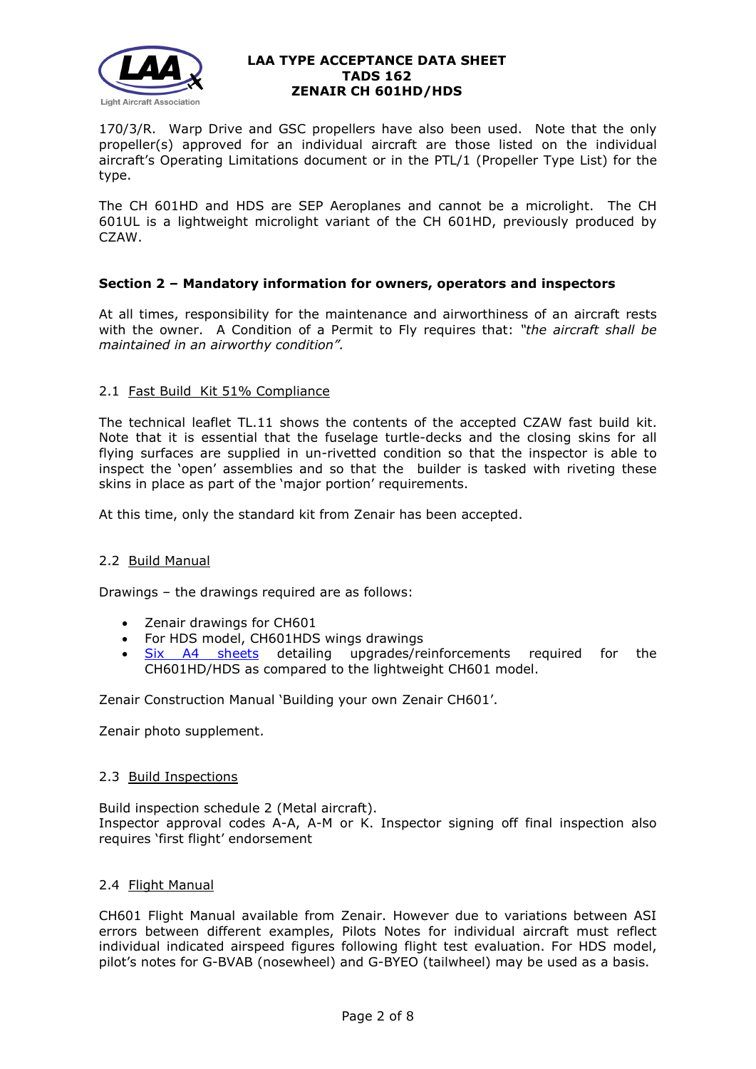

170/3/R. Warp Drive and GSC propellers have also been used. Note that the only propeller(s) approved for an individual aircraft are those listed on the individual aircraft's Operating Limitations document or in the PTL/1 (Propeller Type List) for the type.

The CH 601HD and HDS are SEP Aeroplanes and cannot be a microlight. The CH 601UL is a lightweight microlight variant of the CH 601HD, previously produced by CZAW.

# **Section 2 – Mandatory information for owners, operators and inspectors**

At all times, responsibility for the maintenance and airworthiness of an aircraft rests with the owner. A Condition of a Permit to Fly requires that: *"the aircraft shall be maintained in an airworthy condition".* 

### 2.1 Fast Build Kit 51% Compliance

The technical leaflet TL.11 shows the contents of the accepted CZAW fast build kit. Note that it is essential that the fuselage turtle-decks and the closing skins for all flying surfaces are supplied in un-rivetted condition so that the inspector is able to inspect the 'open' assemblies and so that the builder is tasked with riveting these skins in place as part of the 'major portion' requirements.

At this time, only the standard kit from Zenair has been accepted.

### 2.2 Build Manual

Drawings – the drawings required are as follows:

- Zenair drawings for CH601
- For HDS model, CH601HDS wings drawings
- [Six A4 sheets](http://www.lightaircraftassociation.co.uk/engineering/TADs/162/ch601hd-supp.pdf) detailing upgrades/reinforcements required for the CH601HD/HDS as compared to the lightweight CH601 model.

Zenair Construction Manual 'Building your own Zenair CH601'.

Zenair photo supplement.

### 2.3 Build Inspections

Build inspection schedule 2 (Metal aircraft). Inspector approval codes A-A, A-M or K. Inspector signing off final inspection also requires 'first flight' endorsement

## 2.4 Flight Manual

CH601 Flight Manual available from Zenair. However due to variations between ASI errors between different examples, Pilots Notes for individual aircraft must reflect individual indicated airspeed figures following flight test evaluation. For HDS model, pilot's notes for G-BVAB (nosewheel) and G-BYEO (tailwheel) may be used as a basis.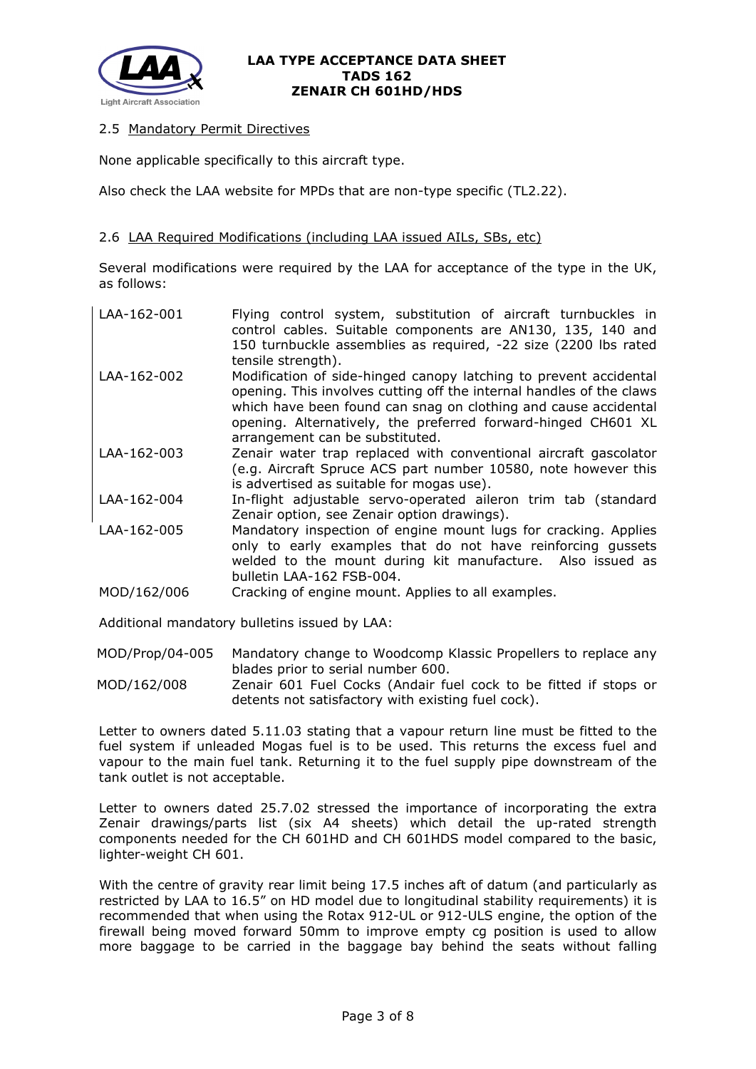

# 2.5 Mandatory Permit Directives

None applicable specifically to this aircraft type.

Also check the LAA website for MPDs that are non-type specific (TL2.22).

## 2.6 LAA Required Modifications (including LAA issued AILs, SBs, etc)

Several modifications were required by the LAA for acceptance of the type in the UK, as follows:

| LAA-162-001 | Flying control system, substitution of aircraft turnbuckles in<br>control cables. Suitable components are AN130, 135, 140 and<br>150 turnbuckle assemblies as required, -22 size (2200 lbs rated<br>tensile strength).                                                                                           |
|-------------|------------------------------------------------------------------------------------------------------------------------------------------------------------------------------------------------------------------------------------------------------------------------------------------------------------------|
| LAA-162-002 | Modification of side-hinged canopy latching to prevent accidental<br>opening. This involves cutting off the internal handles of the claws<br>which have been found can snag on clothing and cause accidental<br>opening. Alternatively, the preferred forward-hinged CH601 XL<br>arrangement can be substituted. |
| LAA-162-003 | Zenair water trap replaced with conventional aircraft gascolator<br>(e.g. Aircraft Spruce ACS part number 10580, note however this<br>is advertised as suitable for mogas use).                                                                                                                                  |
| LAA-162-004 | In-flight adjustable servo-operated aileron trim tab (standard<br>Zenair option, see Zenair option drawings).                                                                                                                                                                                                    |
| LAA-162-005 | Mandatory inspection of engine mount lugs for cracking. Applies<br>only to early examples that do not have reinforcing gussets<br>welded to the mount during kit manufacture. Also issued as<br>bulletin LAA-162 FSB-004.                                                                                        |
| MOD/162/006 | Cracking of engine mount. Applies to all examples.                                                                                                                                                                                                                                                               |

Additional mandatory bulletins issued by LAA:

MOD/Prop/04-005 Mandatory change to Woodcomp Klassic Propellers to replace any blades prior to serial number 600.

MOD/162/008 Zenair 601 Fuel Cocks (Andair fuel cock to be fitted if stops or detents not satisfactory with existing fuel cock).

Letter to owners dated 5.11.03 stating that a vapour return line must be fitted to the fuel system if unleaded Mogas fuel is to be used. This returns the excess fuel and vapour to the main fuel tank. Returning it to the fuel supply pipe downstream of the tank outlet is not acceptable.

Letter to owners dated 25.7.02 stressed the importance of incorporating the extra Zenair drawings/parts list (six A4 sheets) which detail the up-rated strength components needed for the CH 601HD and CH 601HDS model compared to the basic, lighter-weight CH 601.

With the centre of gravity rear limit being 17.5 inches aft of datum (and particularly as restricted by LAA to 16.5" on HD model due to longitudinal stability requirements) it is recommended that when using the Rotax 912-UL or 912-ULS engine, the option of the firewall being moved forward 50mm to improve empty cg position is used to allow more baggage to be carried in the baggage bay behind the seats without falling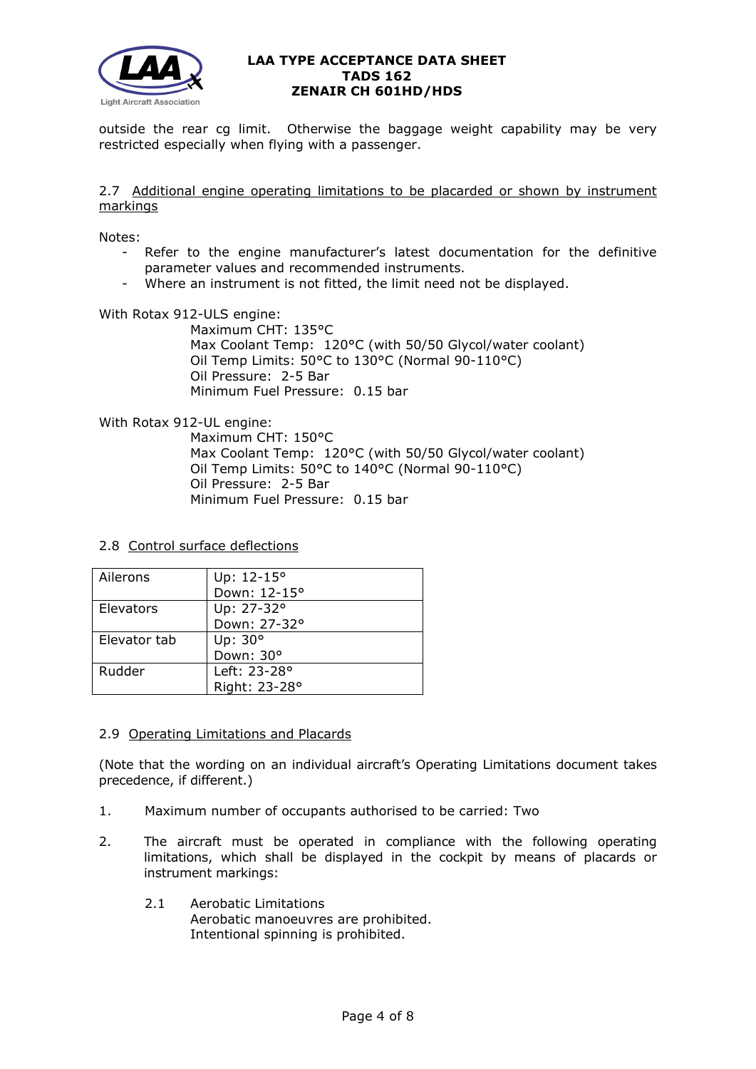

outside the rear cg limit. Otherwise the baggage weight capability may be very restricted especially when flying with a passenger.

### 2.7 Additional engine operating limitations to be placarded or shown by instrument markings

Notes:

- Refer to the engine manufacturer's latest documentation for the definitive parameter values and recommended instruments.
- Where an instrument is not fitted, the limit need not be displayed.

With Rotax 912-ULS engine:

Maximum CHT: 135°C Max Coolant Temp: 120°C (with 50/50 Glycol/water coolant) Oil Temp Limits: 50°C to 130°C (Normal 90-110°C) Oil Pressure: 2-5 Bar Minimum Fuel Pressure: 0.15 bar

With Rotax 912-UL engine:

Maximum CHT: 150°C Max Coolant Temp: 120°C (with 50/50 Glycol/water coolant) Oil Temp Limits: 50°C to 140°C (Normal 90-110°C) Oil Pressure: 2-5 Bar Minimum Fuel Pressure: 0.15 bar

2.8 Control surface deflections

| Ailerons     | Up: 12-15°    |
|--------------|---------------|
|              | Down: 12-15°  |
| Elevators    | Up: 27-32°    |
|              | Down: 27-32°  |
| Elevator tab | Up: 30°       |
|              | Down: 30°     |
| Rudder       | Left: 23-28°  |
|              | Right: 23-28° |

### 2.9 Operating Limitations and Placards

(Note that the wording on an individual aircraft's Operating Limitations document takes precedence, if different.)

- 1. Maximum number of occupants authorised to be carried: Two
- 2. The aircraft must be operated in compliance with the following operating limitations, which shall be displayed in the cockpit by means of placards or instrument markings:
	- 2.1 Aerobatic Limitations Aerobatic manoeuvres are prohibited. Intentional spinning is prohibited.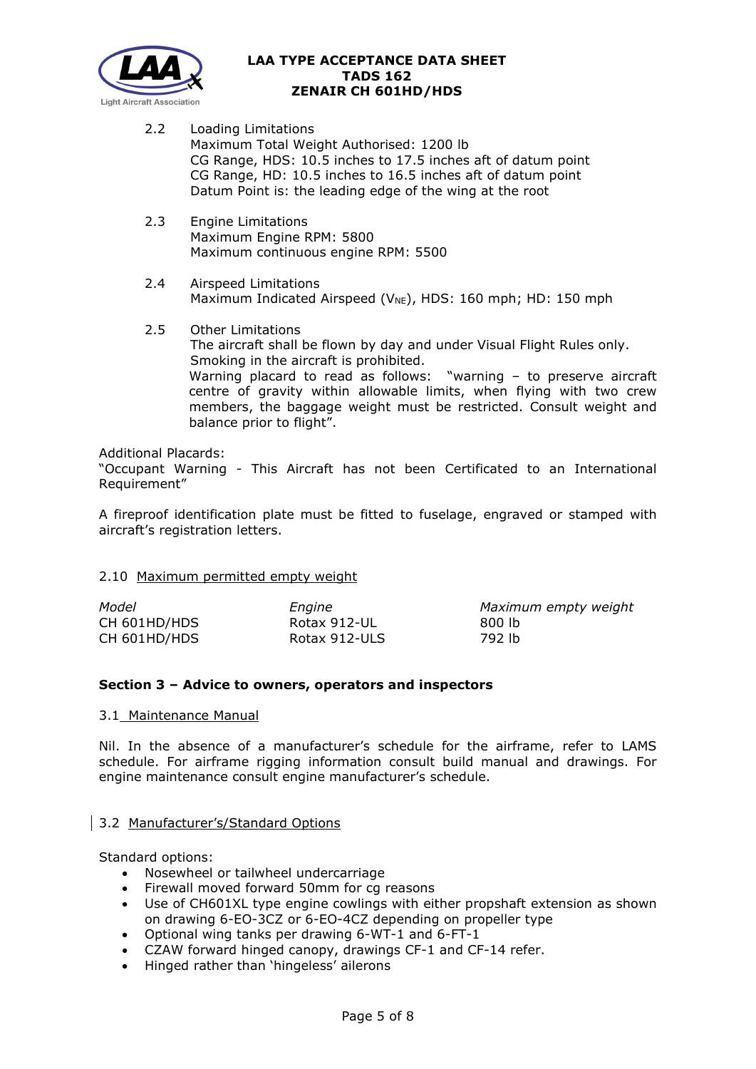

- 2.2 Loading Limitations Maximum Total Weight Authorised: 1200 lb CG Range, HDS: 10.5 inches to 17.5 inches aft of datum point CG Range, HD: 10.5 inches to 16.5 inches aft of datum point Datum Point is: the leading edge of the wing at the root
- 2.3 Engine Limitations Maximum Engine RPM: 5800 Maximum continuous engine RPM: 5500
- 2.4 Airspeed Limitations Maximum Indicated Airspeed ( $V_{NE}$ ), HDS: 160 mph; HD: 150 mph
- 2.5 Other Limitations The aircraft shall be flown by day and under Visual Flight Rules only. Smoking in the aircraft is prohibited. Warning placard to read as follows: "warning – to preserve aircraft centre of gravity within allowable limits, when flying with two crew members, the baggage weight must be restricted. Consult weight and balance prior to flight".

Additional Placards:

"Occupant Warning - This Aircraft has not been Certificated to an International Requirement"

A fireproof identification plate must be fitted to fuselage, engraved or stamped with aircraft's registration letters.

### 2.10 Maximum permitted empty weight

| Model        | Engine        | Maximum empty weight |
|--------------|---------------|----------------------|
| CH 601HD/HDS | Rotax 912-UL  | 800 lb               |
| CH 601HD/HDS | Rotax 912-ULS | 792 lb               |

### **Section 3 – Advice to owners, operators and inspectors**

#### 3.1 Maintenance Manual

Nil. In the absence of a manufacturer's schedule for the airframe, refer to LAMS schedule. For airframe rigging information consult build manual and drawings. For engine maintenance consult engine manufacturer's schedule.

### 3.2 Manufacturer's/Standard Options

Standard options:

- Nosewheel or tailwheel undercarriage
- Firewall moved forward 50mm for cg reasons
- Use of CH601XL type engine cowlings with either propshaft extension as shown on drawing 6-EO-3CZ or 6-EO-4CZ depending on propeller type
- Optional wing tanks per drawing 6-WT-1 and 6-FT-1
- CZAW forward hinged canopy, drawings CF-1 and CF-14 refer.
- Hinged rather than 'hingeless' ailerons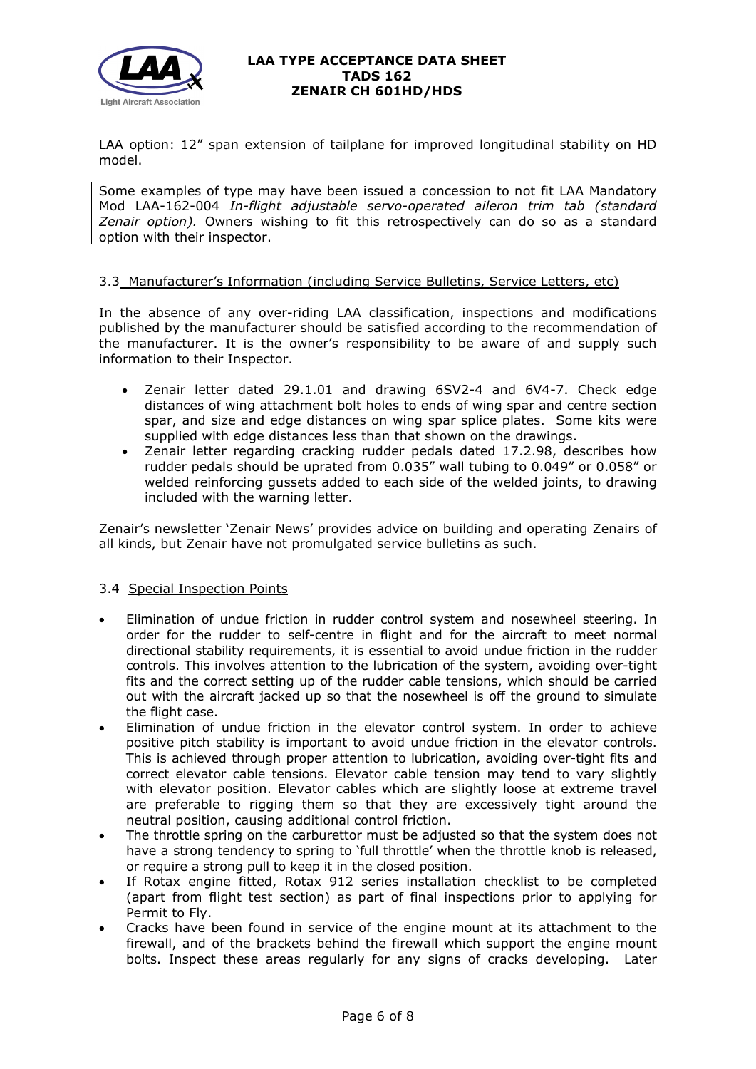

LAA option: 12" span extension of tailplane for improved longitudinal stability on HD model.

Some examples of type may have been issued a concession to not fit LAA Mandatory Mod LAA-162-004 *In-flight adjustable servo-operated aileron trim tab (standard Zenair option).* Owners wishing to fit this retrospectively can do so as a standard option with their inspector.

### 3.3 Manufacturer's Information (including Service Bulletins, Service Letters, etc)

In the absence of any over-riding LAA classification, inspections and modifications published by the manufacturer should be satisfied according to the recommendation of the manufacturer. It is the owner's responsibility to be aware of and supply such information to their Inspector.

- Zenair letter dated 29.1.01 and drawing 6SV2-4 and 6V4-7. Check edge distances of wing attachment bolt holes to ends of wing spar and centre section spar, and size and edge distances on wing spar splice plates. Some kits were supplied with edge distances less than that shown on the drawings.
- Zenair letter regarding cracking rudder pedals dated 17.2.98, describes how rudder pedals should be uprated from 0.035" wall tubing to 0.049" or 0.058" or welded reinforcing gussets added to each side of the welded joints, to drawing included with the warning letter.

Zenair's newsletter 'Zenair News' provides advice on building and operating Zenairs of all kinds, but Zenair have not promulgated service bulletins as such.

### 3.4 Special Inspection Points

- Elimination of undue friction in rudder control system and nosewheel steering. In order for the rudder to self-centre in flight and for the aircraft to meet normal directional stability requirements, it is essential to avoid undue friction in the rudder controls. This involves attention to the lubrication of the system, avoiding over-tight fits and the correct setting up of the rudder cable tensions, which should be carried out with the aircraft jacked up so that the nosewheel is off the ground to simulate the flight case.
- Elimination of undue friction in the elevator control system. In order to achieve positive pitch stability is important to avoid undue friction in the elevator controls. This is achieved through proper attention to lubrication, avoiding over-tight fits and correct elevator cable tensions. Elevator cable tension may tend to vary slightly with elevator position. Elevator cables which are slightly loose at extreme travel are preferable to rigging them so that they are excessively tight around the neutral position, causing additional control friction.
- The throttle spring on the carburettor must be adjusted so that the system does not have a strong tendency to spring to 'full throttle' when the throttle knob is released, or require a strong pull to keep it in the closed position.
- If Rotax engine fitted, Rotax 912 series installation checklist to be completed (apart from flight test section) as part of final inspections prior to applying for Permit to Fly.
- Cracks have been found in service of the engine mount at its attachment to the firewall, and of the brackets behind the firewall which support the engine mount bolts. Inspect these areas regularly for any signs of cracks developing. Later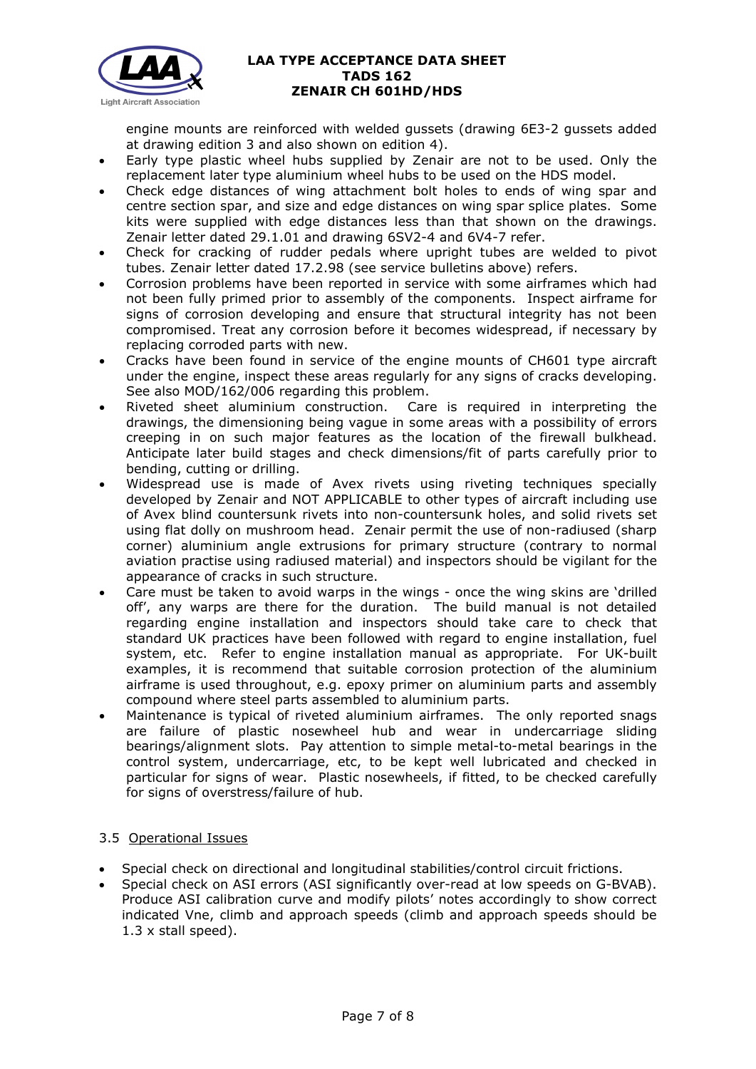

engine mounts are reinforced with welded gussets (drawing 6E3-2 gussets added at drawing edition 3 and also shown on edition 4).

- Early type plastic wheel hubs supplied by Zenair are not to be used. Only the replacement later type aluminium wheel hubs to be used on the HDS model.
- Check edge distances of wing attachment bolt holes to ends of wing spar and centre section spar, and size and edge distances on wing spar splice plates. Some kits were supplied with edge distances less than that shown on the drawings. Zenair letter dated 29.1.01 and drawing 6SV2-4 and 6V4-7 refer.
- Check for cracking of rudder pedals where upright tubes are welded to pivot tubes. Zenair letter dated 17.2.98 (see service bulletins above) refers.
- Corrosion problems have been reported in service with some airframes which had not been fully primed prior to assembly of the components. Inspect airframe for signs of corrosion developing and ensure that structural integrity has not been compromised. Treat any corrosion before it becomes widespread, if necessary by replacing corroded parts with new.
- Cracks have been found in service of the engine mounts of CH601 type aircraft under the engine, inspect these areas regularly for any signs of cracks developing. See also MOD/162/006 regarding this problem.
- Riveted sheet aluminium construction. Care is required in interpreting the drawings, the dimensioning being vague in some areas with a possibility of errors creeping in on such major features as the location of the firewall bulkhead. Anticipate later build stages and check dimensions/fit of parts carefully prior to bending, cutting or drilling.
- Widespread use is made of Avex rivets using riveting techniques specially developed by Zenair and NOT APPLICABLE to other types of aircraft including use of Avex blind countersunk rivets into non-countersunk holes, and solid rivets set using flat dolly on mushroom head. Zenair permit the use of non-radiused (sharp corner) aluminium angle extrusions for primary structure (contrary to normal aviation practise using radiused material) and inspectors should be vigilant for the appearance of cracks in such structure.
- Care must be taken to avoid warps in the wings once the wing skins are 'drilled off', any warps are there for the duration. The build manual is not detailed regarding engine installation and inspectors should take care to check that standard UK practices have been followed with regard to engine installation, fuel system, etc. Refer to engine installation manual as appropriate. For UK-built examples, it is recommend that suitable corrosion protection of the aluminium airframe is used throughout, e.g. epoxy primer on aluminium parts and assembly compound where steel parts assembled to aluminium parts.
- Maintenance is typical of riveted aluminium airframes. The only reported snags are failure of plastic nosewheel hub and wear in undercarriage sliding bearings/alignment slots. Pay attention to simple metal-to-metal bearings in the control system, undercarriage, etc, to be kept well lubricated and checked in particular for signs of wear. Plastic nosewheels, if fitted, to be checked carefully for signs of overstress/failure of hub.

# 3.5 Operational Issues

- Special check on directional and longitudinal stabilities/control circuit frictions.
- Special check on ASI errors (ASI significantly over-read at low speeds on G-BVAB). Produce ASI calibration curve and modify pilots' notes accordingly to show correct indicated Vne, climb and approach speeds (climb and approach speeds should be 1.3 x stall speed).